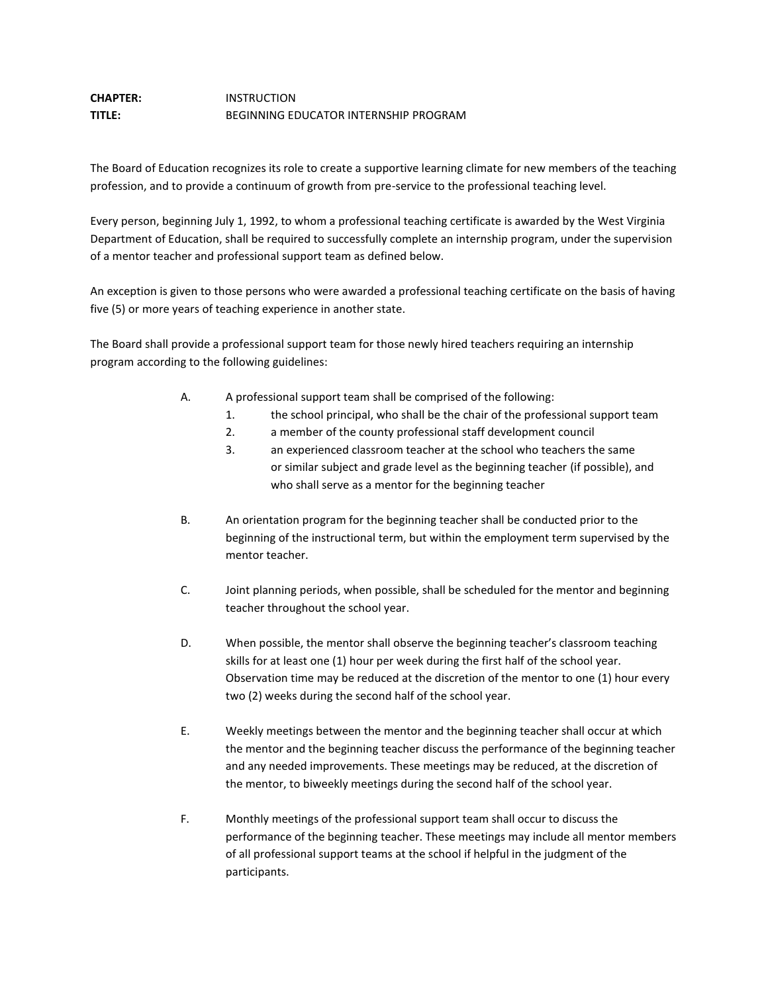## **CHAPTER:** INSTRUCTION **TITLE:** BEGINNING EDUCATOR INTERNSHIP PROGRAM

The Board of Education recognizes its role to create a supportive learning climate for new members of the teaching profession, and to provide a continuum of growth from pre-service to the professional teaching level.

Every person, beginning July 1, 1992, to whom a professional teaching certificate is awarded by the West Virginia Department of Education, shall be required to successfully complete an internship program, under the supervision of a mentor teacher and professional support team as defined below.

An exception is given to those persons who were awarded a professional teaching certificate on the basis of having five (5) or more years of teaching experience in another state.

The Board shall provide a professional support team for those newly hired teachers requiring an internship program according to the following guidelines:

- A. A professional support team shall be comprised of the following:
	- 1. the school principal, who shall be the chair of the professional support team
	- 2. a member of the county professional staff development council
	- 3. an experienced classroom teacher at the school who teachers the same or similar subject and grade level as the beginning teacher (if possible), and who shall serve as a mentor for the beginning teacher
- B. An orientation program for the beginning teacher shall be conducted prior to the beginning of the instructional term, but within the employment term supervised by the mentor teacher.
- C. Joint planning periods, when possible, shall be scheduled for the mentor and beginning teacher throughout the school year.
- D. When possible, the mentor shall observe the beginning teacher's classroom teaching skills for at least one (1) hour per week during the first half of the school year. Observation time may be reduced at the discretion of the mentor to one (1) hour every two (2) weeks during the second half of the school year.
- E. Weekly meetings between the mentor and the beginning teacher shall occur at which the mentor and the beginning teacher discuss the performance of the beginning teacher and any needed improvements. These meetings may be reduced, at the discretion of the mentor, to biweekly meetings during the second half of the school year.
- F. Monthly meetings of the professional support team shall occur to discuss the performance of the beginning teacher. These meetings may include all mentor members of all professional support teams at the school if helpful in the judgment of the participants.